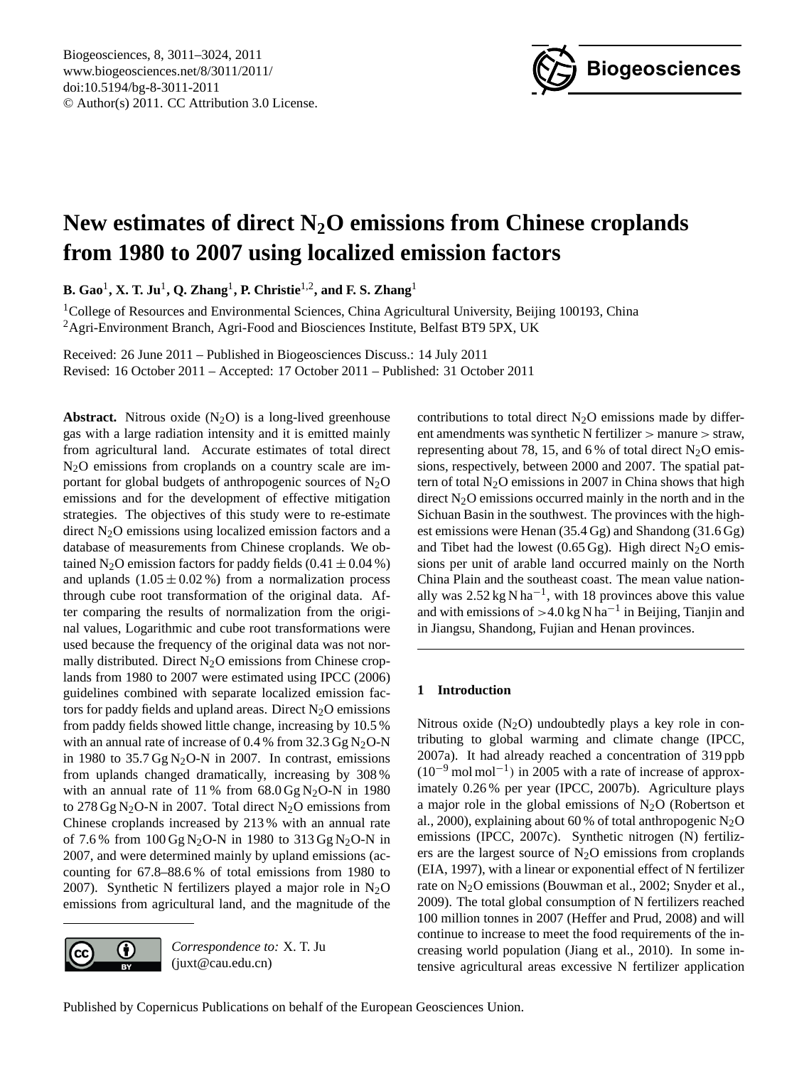

# <span id="page-0-0"></span>**New estimates of direct N2O emissions from Chinese croplands from 1980 to 2007 using localized emission factors**

**B. Gao**<sup>1</sup> **, X. T. Ju**<sup>1</sup> **, Q. Zhang**<sup>1</sup> **, P. Christie**1,2**, and F. S. Zhang**<sup>1</sup>

<sup>1</sup>College of Resources and Environmental Sciences, China Agricultural University, Beijing 100193, China <sup>2</sup>Agri-Environment Branch, Agri-Food and Biosciences Institute, Belfast BT9 5PX, UK

Received: 26 June 2011 – Published in Biogeosciences Discuss.: 14 July 2011 Revised: 16 October 2011 – Accepted: 17 October 2011 – Published: 31 October 2011

**Abstract.** Nitrous oxide  $(N_2O)$  is a long-lived greenhouse gas with a large radiation intensity and it is emitted mainly from agricultural land. Accurate estimates of total direct N2O emissions from croplands on a country scale are important for global budgets of anthropogenic sources of  $N_2O$ emissions and for the development of effective mitigation strategies. The objectives of this study were to re-estimate direct  $N<sub>2</sub>O$  emissions using localized emission factors and a database of measurements from Chinese croplands. We obtained N<sub>2</sub>O emission factors for paddy fields  $(0.41 \pm 0.04 \%)$ and uplands  $(1.05 \pm 0.02\%)$  from a normalization process through cube root transformation of the original data. After comparing the results of normalization from the original values, Logarithmic and cube root transformations were used because the frequency of the original data was not normally distributed. Direct  $N_2O$  emissions from Chinese croplands from 1980 to 2007 were estimated using IPCC (2006) guidelines combined with separate localized emission factors for paddy fields and upland areas. Direct  $N_2O$  emissions from paddy fields showed little change, increasing by 10.5 % with an annual rate of increase of 0.4 % from  $32.3$  Gg N<sub>2</sub>O-N in 1980 to  $35.7$  Gg N<sub>2</sub>O-N in 2007. In contrast, emissions from uplands changed dramatically, increasing by 308 % with an annual rate of 11% from  $68.0 \text{ Gg N}_2\text{O-N}$  in 1980 to 278 Gg N<sub>2</sub>O-N in 2007. Total direct N<sub>2</sub>O emissions from Chinese croplands increased by 213 % with an annual rate of 7.6% from  $100 \text{ Gg N}_2\text{O-N}$  in 1980 to 313  $\text{Gg N}_2\text{O-N}$  in 2007, and were determined mainly by upland emissions (accounting for 67.8–88.6 % of total emissions from 1980 to 2007). Synthetic N fertilizers played a major role in  $N_2O$ emissions from agricultural land, and the magnitude of the



*Correspondence to:* X. T. Ju (juxt@cau.edu.cn)

contributions to total direct  $N_2O$  emissions made by different amendments was synthetic N fertilizer > manure > straw, representing about 78, 15, and 6% of total direct  $N_2O$  emissions, respectively, between 2000 and 2007. The spatial pattern of total  $N_2O$  emissions in 2007 in China shows that high direct  $N_2O$  emissions occurred mainly in the north and in the Sichuan Basin in the southwest. The provinces with the highest emissions were Henan (35.4 Gg) and Shandong (31.6 Gg) and Tibet had the lowest  $(0.65 \text{ Gg})$ . High direct N<sub>2</sub>O emissions per unit of arable land occurred mainly on the North China Plain and the southeast coast. The mean value nationally was  $2.52 \text{ kg N} \text{ ha}^{-1}$ , with 18 provinces above this value and with emissions of >4.0 kg N ha<sup>-1</sup> in Beijing, Tianjin and in Jiangsu, Shandong, Fujian and Henan provinces.

# **1 Introduction**

Nitrous oxide  $(N_2O)$  undoubtedly plays a key role in contributing to global warming and climate change (IPCC, 2007a). It had already reached a concentration of 319 ppb (10−<sup>9</sup> mol mol−<sup>1</sup> ) in 2005 with a rate of increase of approximately 0.26 % per year (IPCC, 2007b). Agriculture plays a major role in the global emissions of  $N_2O$  (Robertson et al., 2000), explaining about 60 % of total anthropogenic  $N_2O$ emissions (IPCC, 2007c). Synthetic nitrogen (N) fertilizers are the largest source of  $N<sub>2</sub>O$  emissions from croplands (EIA, 1997), with a linear or exponential effect of N fertilizer rate on N<sub>2</sub>O emissions (Bouwman et al., 2002; Snyder et al., 2009). The total global consumption of N fertilizers reached 100 million tonnes in 2007 (Heffer and Prud, 2008) and will continue to increase to meet the food requirements of the increasing world population (Jiang et al., 2010). In some intensive agricultural areas excessive N fertilizer application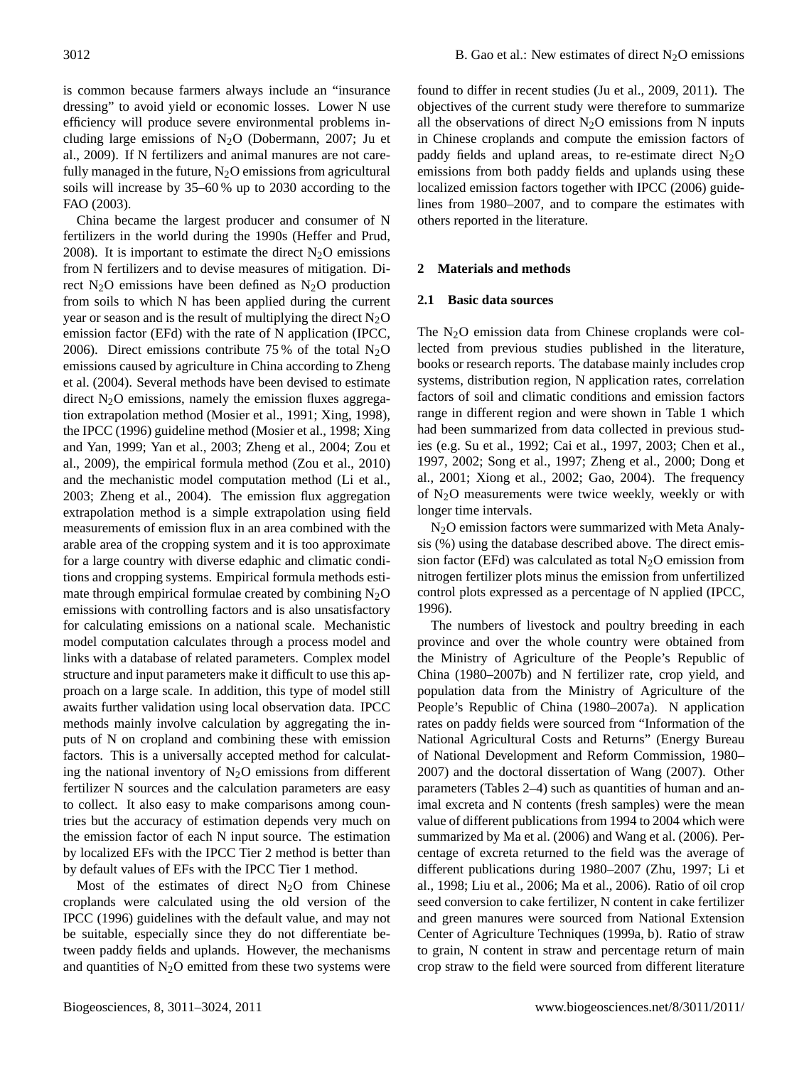is common because farmers always include an "insurance dressing" to avoid yield or economic losses. Lower N use efficiency will produce severe environmental problems including large emissions of  $N_2O$  (Dobermann, 2007; Ju et al., 2009). If N fertilizers and animal manures are not carefully managed in the future,  $N_2O$  emissions from agricultural soils will increase by 35–60 % up to 2030 according to the FAO (2003).

China became the largest producer and consumer of N fertilizers in the world during the 1990s (Heffer and Prud, 2008). It is important to estimate the direct  $N_2O$  emissions from N fertilizers and to devise measures of mitigation. Direct  $N_2O$  emissions have been defined as  $N_2O$  production from soils to which N has been applied during the current year or season and is the result of multiplying the direct  $N_2O$ emission factor (EFd) with the rate of N application (IPCC, 2006). Direct emissions contribute 75% of the total  $N_2O$ emissions caused by agriculture in China according to Zheng et al. (2004). Several methods have been devised to estimate direct  $N_2O$  emissions, namely the emission fluxes aggregation extrapolation method (Mosier et al., 1991; Xing, 1998), the IPCC (1996) guideline method (Mosier et al., 1998; Xing and Yan, 1999; Yan et al., 2003; Zheng et al., 2004; Zou et al., 2009), the empirical formula method (Zou et al., 2010) and the mechanistic model computation method (Li et al., 2003; Zheng et al., 2004). The emission flux aggregation extrapolation method is a simple extrapolation using field measurements of emission flux in an area combined with the arable area of the cropping system and it is too approximate for a large country with diverse edaphic and climatic conditions and cropping systems. Empirical formula methods estimate through empirical formulae created by combining  $N_2O$ emissions with controlling factors and is also unsatisfactory for calculating emissions on a national scale. Mechanistic model computation calculates through a process model and links with a database of related parameters. Complex model structure and input parameters make it difficult to use this approach on a large scale. In addition, this type of model still awaits further validation using local observation data. IPCC methods mainly involve calculation by aggregating the inputs of N on cropland and combining these with emission factors. This is a universally accepted method for calculating the national inventory of  $N_2O$  emissions from different fertilizer N sources and the calculation parameters are easy to collect. It also easy to make comparisons among countries but the accuracy of estimation depends very much on the emission factor of each N input source. The estimation by localized EFs with the IPCC Tier 2 method is better than by default values of EFs with the IPCC Tier 1 method.

Most of the estimates of direct  $N_2O$  from Chinese croplands were calculated using the old version of the IPCC (1996) guidelines with the default value, and may not be suitable, especially since they do not differentiate between paddy fields and uplands. However, the mechanisms and quantities of  $N_2O$  emitted from these two systems were

found to differ in recent studies (Ju et al., 2009, 2011). The objectives of the current study were therefore to summarize all the observations of direct  $N_2O$  emissions from N inputs in Chinese croplands and compute the emission factors of paddy fields and upland areas, to re-estimate direct  $N_2O$ emissions from both paddy fields and uplands using these localized emission factors together with IPCC (2006) guidelines from 1980–2007, and to compare the estimates with others reported in the literature.

# **2 Materials and methods**

## **2.1 Basic data sources**

The  $N_2O$  emission data from Chinese croplands were collected from previous studies published in the literature, books or research reports. The database mainly includes crop systems, distribution region, N application rates, correlation factors of soil and climatic conditions and emission factors range in different region and were shown in Table 1 which had been summarized from data collected in previous studies (e.g. Su et al., 1992; Cai et al., 1997, 2003; Chen et al., 1997, 2002; Song et al., 1997; Zheng et al., 2000; Dong et al., 2001; Xiong et al., 2002; Gao, 2004). The frequency of N2O measurements were twice weekly, weekly or with longer time intervals.

N2O emission factors were summarized with Meta Analysis (%) using the database described above. The direct emission factor (EFd) was calculated as total  $N_2O$  emission from nitrogen fertilizer plots minus the emission from unfertilized control plots expressed as a percentage of N applied (IPCC, 1996).

The numbers of livestock and poultry breeding in each province and over the whole country were obtained from the Ministry of Agriculture of the People's Republic of China (1980–2007b) and N fertilizer rate, crop yield, and population data from the Ministry of Agriculture of the People's Republic of China (1980–2007a). N application rates on paddy fields were sourced from "Information of the National Agricultural Costs and Returns" (Energy Bureau of National Development and Reform Commission, 1980– 2007) and the doctoral dissertation of Wang (2007). Other parameters (Tables 2–4) such as quantities of human and animal excreta and N contents (fresh samples) were the mean value of different publications from 1994 to 2004 which were summarized by Ma et al. (2006) and Wang et al. (2006). Percentage of excreta returned to the field was the average of different publications during 1980–2007 (Zhu, 1997; Li et al., 1998; Liu et al., 2006; Ma et al., 2006). Ratio of oil crop seed conversion to cake fertilizer, N content in cake fertilizer and green manures were sourced from National Extension Center of Agriculture Techniques (1999a, b). Ratio of straw to grain, N content in straw and percentage return of main crop straw to the field were sourced from different literature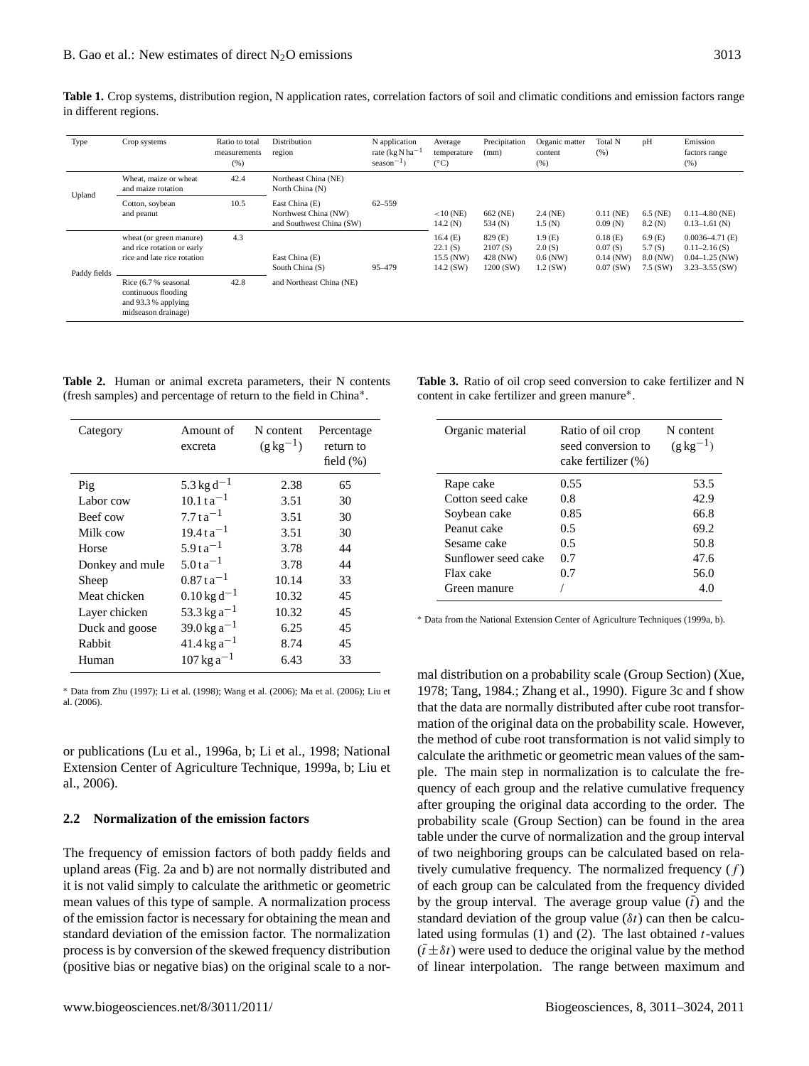| Type         | Crop systems                                                                             | Ratio to total<br>measurements<br>(% ) | Distribution<br>region                                             | N application<br>rate $(\text{kg} \text{ N} \text{ ha}^{-1})$<br>$season^{-1}$ ) | Average<br>temperature<br>$(^{\circ}C)$      | Precipitation<br>(mm)                       | Organic matter<br>content<br>(% )            | Total N<br>(% )                                  | pH                                         | Emission<br>factors range<br>(% )                                                    |
|--------------|------------------------------------------------------------------------------------------|----------------------------------------|--------------------------------------------------------------------|----------------------------------------------------------------------------------|----------------------------------------------|---------------------------------------------|----------------------------------------------|--------------------------------------------------|--------------------------------------------|--------------------------------------------------------------------------------------|
| Upland       | Wheat, maize or wheat<br>and maize rotation                                              | 42.4                                   | Northeast China (NE)<br>North China (N)                            |                                                                                  |                                              |                                             |                                              |                                                  |                                            |                                                                                      |
|              | Cotton, soybean<br>and peanut                                                            | 10.5                                   | East China (E)<br>Northwest China (NW)<br>and Southwest China (SW) | $62 - 559$                                                                       | $<$ 10 (NE)<br>14.2(N)                       | 662 (NE)<br>534 (N)                         | $2.4$ (NE)<br>1.5(N)                         | $0.11$ (NE)<br>0.09(N)                           | $6.5$ (NE)<br>8.2(N)                       | $0.11 - 4.80$ (NE)<br>$0.13 - 1.61$ (N)                                              |
| Paddy fields | wheat (or green manure)<br>and rice rotation or early<br>rice and late rice rotation     | 4.3                                    | East China (E)<br>South China (S)                                  | 95-479                                                                           | 16.4(E)<br>22.1(S)<br>15.5 (NW)<br>14.2 (SW) | 829 (E)<br>2107(S)<br>428 (NW)<br>1200 (SW) | 1.9(E)<br>2.0(S)<br>$0.6$ (NW)<br>$1.2$ (SW) | 0.18(E)<br>0.07(S)<br>$0.14$ (NW)<br>$0.07$ (SW) | 6.9(E)<br>5.7(S)<br>8.0 (NW)<br>$7.5$ (SW) | $0.0036 - 4.71$ (E)<br>$0.11 - 2.16$ (S)<br>$0.04 - 1.25$ (NW)<br>$3.23 - 3.55$ (SW) |
|              | Rice (6.7% seasonal<br>continuous flooding<br>and 93.3 % applying<br>midseason drainage) | 42.8                                   | and Northeast China (NE)                                           |                                                                                  |                                              |                                             |                                              |                                                  |                                            |                                                                                      |

Table 1. Crop systems, distribution region, N application rates, correlation factors of soil and climatic conditions and emission factors range in different regions.

**Table 2.** Human or animal excreta parameters, their N contents (fresh samples) and percentage of return to the field in China<sup>∗</sup> .

| Category        | Amount of<br>excreta            | N content<br>$(g \, kg^{-1})$ | Percentage<br>return to<br>field $(\%)$ |
|-----------------|---------------------------------|-------------------------------|-----------------------------------------|
| Pig             | $5.3 \text{ kg d}^{-1}$         | 2.38                          | 65                                      |
| Labor cow       | $10.1 \text{ ta}^{-1}$          | 3.51                          | 30                                      |
| Beef cow        | $7.7 \text{ ta}^{-1}$           | 3.51                          | 30                                      |
| Milk cow        | $19.4\t\mathrm{ta}^{-1}$        | 3.51                          | 30                                      |
| Horse           | $5.9\tan^{-1}$                  | 3.78                          | 44                                      |
| Donkey and mule | $5.0\times10^{-1}$              | 3.78                          | 44                                      |
| Sheep           | $0.87 \,\mathrm{ta}^{-1}$       | 10.14                         | 33                                      |
| Meat chicken    | $0.10$ kg d <sup>-1</sup>       | 10.32                         | 45                                      |
| Layer chicken   | 53.3 kg a <sup>-1</sup>         | 10.32                         | 45                                      |
| Duck and goose  | 39.0 kg a <sup>-1</sup>         | 6.25                          | 45                                      |
| Rabbit          | $41.4 \text{ kg} \text{a}^{-1}$ | 8.74                          | 45                                      |
| Human           | $107 \text{ kg} \text{a}^{-1}$  | 6.43                          | 33                                      |

<sup>∗</sup> Data from Zhu (1997); Li et al. (1998); Wang et al. (2006); Ma et al. (2006); Liu et al. (2006).

or publications (Lu et al., 1996a, b; Li et al., 1998; National Extension Center of Agriculture Technique, 1999a, b; Liu et al., 2006).

# **2.2 Normalization of the emission factors**

The frequency of emission factors of both paddy fields and upland areas (Fig. 2a and b) are not normally distributed and it is not valid simply to calculate the arithmetic or geometric mean values of this type of sample. A normalization process of the emission factor is necessary for obtaining the mean and standard deviation of the emission factor. The normalization process is by conversion of the skewed frequency distribution (positive bias or negative bias) on the original scale to a nor-

|  | <b>Table 3.</b> Ratio of oil crop seed conversion to cake fertilizer and N |  |  |  |  |
|--|----------------------------------------------------------------------------|--|--|--|--|
|  | content in cake fertilizer and green manure <sup>*</sup> .                 |  |  |  |  |

| Organic material    | Ratio of oil crop<br>seed conversion to<br>cake fertilizer (%) | N content<br>$(g \, kg^{-1})$ |
|---------------------|----------------------------------------------------------------|-------------------------------|
| Rape cake           | 0.55                                                           | 53.5                          |
| Cotton seed cake    | 0.8                                                            | 42.9                          |
| Soybean cake        | 0.85                                                           | 66.8                          |
| Peanut cake         | 0.5                                                            | 69.2                          |
| Sesame cake         | 0.5                                                            | 50.8                          |
| Sunflower seed cake | 0.7                                                            | 47.6                          |
| Flax cake           | 0.7                                                            | 56.0                          |
| Green manure        |                                                                | 4.0                           |

<sup>∗</sup> Data from the National Extension Center of Agriculture Techniques (1999a, b).

mal distribution on a probability scale (Group Section) (Xue, 1978; Tang, 1984.; Zhang et al., 1990). Figure 3c and f show that the data are normally distributed after cube root transformation of the original data on the probability scale. However, the method of cube root transformation is not valid simply to calculate the arithmetic or geometric mean values of the sample. The main step in normalization is to calculate the frequency of each group and the relative cumulative frequency after grouping the original data according to the order. The probability scale (Group Section) can be found in the area table under the curve of normalization and the group interval of two neighboring groups can be calculated based on relatively cumulative frequency. The normalized frequency  $(f)$ of each group can be calculated from the frequency divided by the group interval. The average group value  $(\bar{t})$  and the standard deviation of the group value  $(\delta t)$  can then be calculated using formulas  $(1)$  and  $(2)$ . The last obtained *t*-values  $(\bar{t} \pm \delta t)$  were used to deduce the original value by the method of linear interpolation. The range between maximum and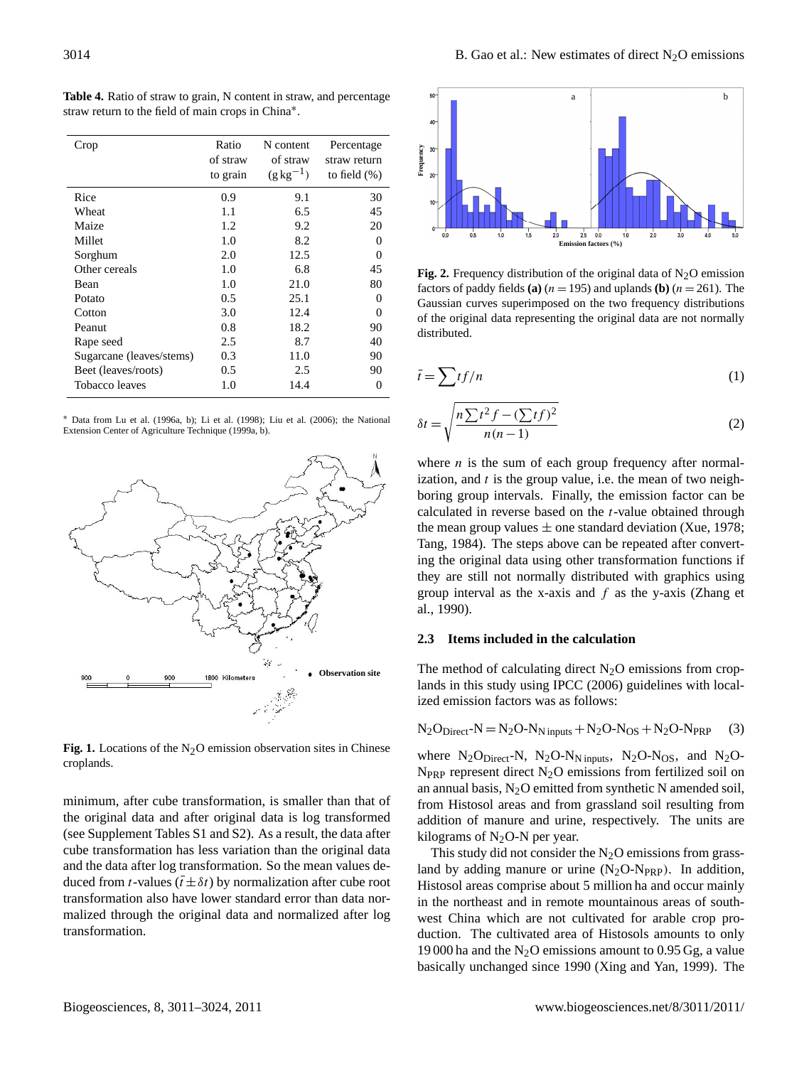| Crop                     | Ratio<br>of straw | N content<br>of straw | Percentage<br>straw return |
|--------------------------|-------------------|-----------------------|----------------------------|
|                          |                   |                       |                            |
|                          | to grain          | $(g \, kg^{-1})$      | to field $(\%)$            |
| Rice                     | 0.9               | 9.1                   | 30                         |
| Wheat                    | 1.1               | 6.5                   | 45                         |
| Maize                    | 1.2               | 9.2                   | 20                         |
| Millet                   | 1.0               | 8.2                   | 0                          |
| Sorghum                  | 2.0               | 12.5                  | 0                          |
| Other cereals            | 1.0               | 6.8                   | 45                         |
| Bean                     | 1.0               | 21.0                  | 80                         |
| Potato                   | 0.5               | 25.1                  | 0                          |
| Cotton                   | 3.0               | 12.4                  | $\theta$                   |
| Peanut                   | 0.8               | 18.2                  | 90                         |
| Rape seed                | 2.5               | 8.7                   | 40                         |
| Sugarcane (leaves/stems) | 0.3               | 11.0                  | 90                         |
| Beet (leaves/roots)      | 0.5               | 2.5                   | 90                         |
| Tobacco leaves           | 1.0               | 14.4                  | 0                          |

**Table 4.** Ratio of straw to grain, N content in straw, and percentage straw return to the field of main crops in China<sup>∗</sup> .

<sup>∗</sup> Data from Lu et al. (1996a, b); Li et al. (1998); Liu et al. (2006); the National Extension Center of Agriculture Technique (1999a, b).



**Fig. 1.** Locations of the  $N_2O$  emission observation sites in Chinese croplands.

minimum, after cube transformation, is smaller than that of the original data and after original data is log transformed (see Supplement Tables S1 and S2). As a result, the data after cube transformation has less variation than the original data and the data after log transformation. So the mean values deduced from t-values ( $\bar{t} \pm \delta t$ ) by normalization after cube root transformation also have lower standard error than data normalized through the original data and normalized after log transformation.



**Fig. 2.** Frequency distribution of the original data of  $N<sub>2</sub>O$  emission factors of paddy fields **(a)**  $(n = 195)$  and uplands **(b)**  $(n = 261)$ . The Gaussian curves superimposed on the two frequency distributions of the original data representing the original data are not normally distributed.

$$
\bar{t} = \sum t f/n \tag{1}
$$

$$
\delta t = \sqrt{\frac{n \sum t^2 f - (\sum t f)^2}{n(n-1)}}\tag{2}
$$

where  $n$  is the sum of each group frequency after normalization, and  $t$  is the group value, i.e. the mean of two neighboring group intervals. Finally, the emission factor can be calculated in reverse based on the t-value obtained through the mean group values  $\pm$  one standard deviation (Xue, 1978; Tang, 1984). The steps above can be repeated after converting the original data using other transformation functions if they are still not normally distributed with graphics using group interval as the x-axis and  $f$  as the y-axis (Zhang et al., 1990).

## **2.3 Items included in the calculation**

The method of calculating direct  $N_2O$  emissions from croplands in this study using IPCC (2006) guidelines with localized emission factors was as follows:

$$
N_2O_{Direct} - N = N_2O - N_{N\text{ inputs}} + N_2O - N_{OS} + N_2O - N_{PRP}
$$
 (3)

where  $N_2O_{Direct}$ -N,  $N_2O-N_N$  inputs,  $N_2O-N_{OS}$ , and  $N_2O$ -N<sub>PRP</sub> represent direct N<sub>2</sub>O emissions from fertilized soil on an annual basis,  $N_2O$  emitted from synthetic N amended soil, from Histosol areas and from grassland soil resulting from addition of manure and urine, respectively. The units are kilograms of  $N_2O-N$  per year.

This study did not consider the  $N_2O$  emissions from grassland by adding manure or urine  $(N_2O-N_{PRP})$ . In addition, Histosol areas comprise about 5 million ha and occur mainly in the northeast and in remote mountainous areas of southwest China which are not cultivated for arable crop production. The cultivated area of Histosols amounts to only 19 000 ha and the  $N_2O$  emissions amount to 0.95 Gg, a value basically unchanged since 1990 (Xing and Yan, 1999). The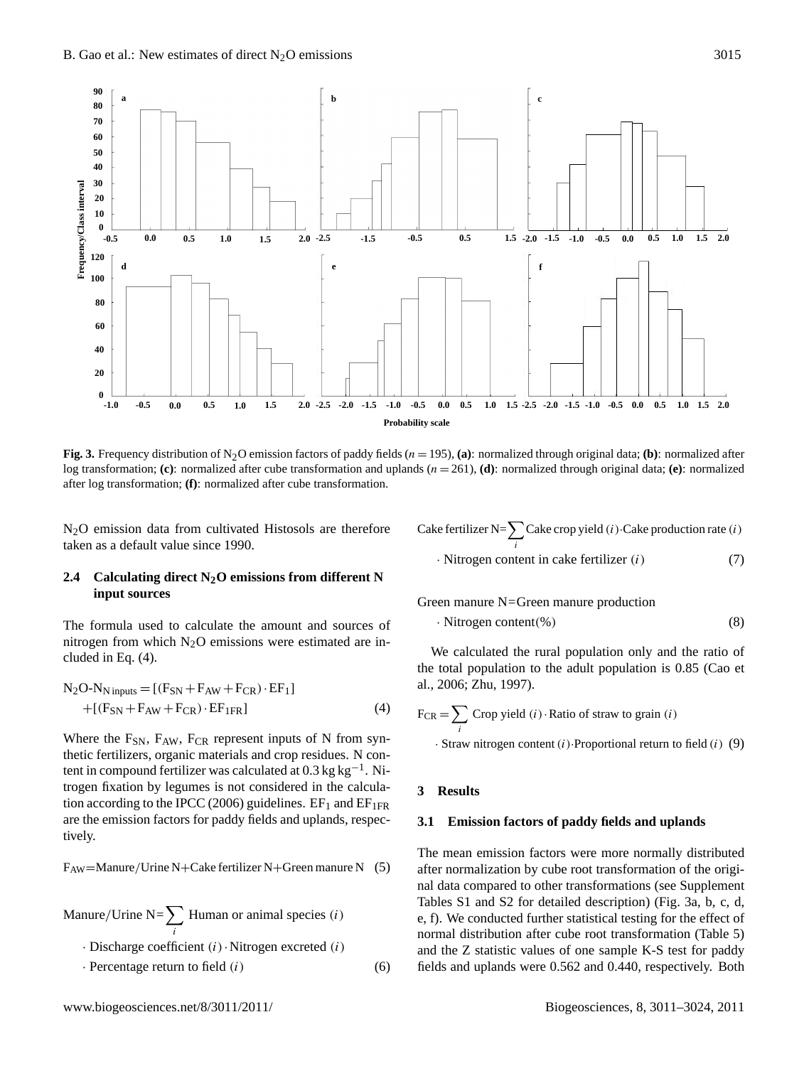

**Fig. 3.** Frequency distribution of N<sub>2</sub>O emission factors of paddy fields  $(n = 195)$ , (a): normalized through original data; (b): normalized after log transformation; (c): normalized after cube transformation and uplands  $(n = 261)$ , **(d)**: normalized through original data; **(e)**: normalized after log transformation; **(f)**: normalized after cube transformation.

N<sub>2</sub>O emission data from cultivated Histosols are therefore taken as a default value since 1990.

# **2.4 Calculating direct N2O emissions from different N input sources**

The formula used to calculate the amount and sources of nitrogen from which  $N_2O$  emissions were estimated are included in Eq. (4).

$$
N_2O-N_{N\text{ inputs}} = [(F_{SN} + F_{AW} + F_{CR}) \cdot EF_1] + [(F_{SN} + F_{AW} + F_{CR}) \cdot EF_1] \tag{4}
$$

Where the  $F_{SN}$ ,  $F_{AW}$ ,  $F_{CR}$  represent inputs of N from synthetic fertilizers, organic materials and crop residues. N content in compound fertilizer was calculated at  $0.3 \text{ kg kg}^{-1}$ . Nitrogen fixation by legumes is not considered in the calculation according to the IPCC (2006) guidelines.  $EF_1$  and  $EF_{1FR}$ are the emission factors for paddy fields and uplands, respectively.

 $F_{AW}$ =Manure/Urine N+Cake fertilizer N+Green manure N (5)

Manure/Urine N= $\sum$  Human or animal species (i) i

 $\cdot$  Discharge coefficient (i)  $\cdot$  Nitrogen excreted (i)

$$
Percentage return to field (i)
$$
 (6)

Cache fertilizer N=
$$
\sum_{i}
$$
Cache crop yield (i)~Cache production rate (i)

\nWitrogen content in cake fertilizer (i)

\n(7)

Green manure N=Green manure production

$$
\therefore \text{Nitrogen content}(\%) \tag{8}
$$

We calculated the rural population only and the ratio of the total population to the adult population is 0.85 (Cao et al., 2006; Zhu, 1997).

$$
F_{CR} = \sum_{i} \text{Crop yield } (i) \cdot \text{Ratio of draw to grain } (i)
$$
  
.  
Straw nitrogen content (i).  
Proportional return to field (i) (9)

 $\text{sn}$  content (i)·Proportional return to field (i) (9)

#### **3 Results**

## **3.1 Emission factors of paddy fields and uplands**

The mean emission factors were more normally distributed after normalization by cube root transformation of the original data compared to other transformations (see Supplement Tables S1 and S2 for detailed description) (Fig. 3a, b, c, d, e, f). We conducted further statistical testing for the effect of normal distribution after cube root transformation (Table 5) and the Z statistic values of one sample K-S test for paddy fields and uplands were 0.562 and 0.440, respectively. Both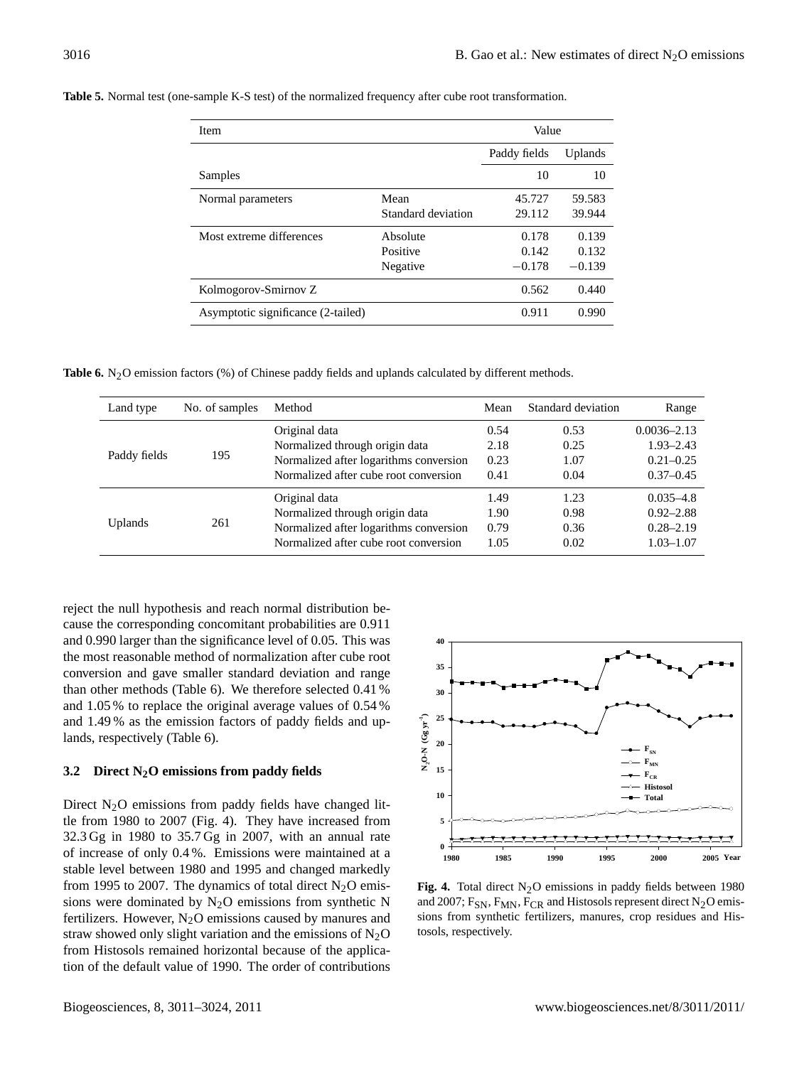| Item                               |                    | Value        |          |
|------------------------------------|--------------------|--------------|----------|
|                                    |                    | Paddy fields | Uplands  |
| Samples                            |                    | 10           | 10       |
| Normal parameters                  | Mean               | 45.727       | 59.583   |
|                                    | Standard deviation | 29.112       | 39.944   |
| Most extreme differences           | Absolute           | 0.178        | 0.139    |
|                                    | Positive           | 0.142        | 0.132    |
|                                    | Negative           | $-0.178$     | $-0.139$ |
| Kolmogorov-Smirnov Z               |                    | 0.562        | 0.440    |
| Asymptotic significance (2-tailed) |                    | 0.911        | 0.990    |

**Table 5.** Normal test (one-sample K-S test) of the normalized frequency after cube root transformation.

**Table 6.** N<sub>2</sub>O emission factors (%) of Chinese paddy fields and uplands calculated by different methods.

| Land type      | No. of samples | Method                                 | Mean | Standard deviation | Range           |
|----------------|----------------|----------------------------------------|------|--------------------|-----------------|
|                |                | Original data                          | 0.54 | 0.53               | $0.0036 - 2.13$ |
|                |                | Normalized through origin data         | 2.18 | 0.25               | $1.93 - 2.43$   |
| Paddy fields   | 195            | Normalized after logarithms conversion | 0.23 | 1.07               | $0.21 - 0.25$   |
|                |                | Normalized after cube root conversion  | 0.41 | 0.04               | $0.37 - 0.45$   |
|                |                | Original data                          | 1.49 | 1.23               | $0.035 - 4.8$   |
|                |                | Normalized through origin data         | 1.90 | 0.98               | $0.92 - 2.88$   |
| <b>Uplands</b> | 261            | Normalized after logarithms conversion | 0.79 | 0.36               | $0.28 - 2.19$   |
|                |                | Normalized after cube root conversion  | 1.05 | 0.02               | $1.03 - 1.07$   |

reject the null hypothesis and reach normal distribution because the corresponding concomitant probabilities are 0.911 and 0.990 larger than the significance level of 0.05. This was the most reasonable method of normalization after cube root conversion and gave smaller standard deviation and range than other methods (Table 6). We therefore selected 0.41 % and 1.05 % to replace the original average values of 0.54 % and 1.49 % as the emission factors of paddy fields and uplands, respectively (Table 6).

# **3.2 Direct N2O emissions from paddy fields**

Direct  $N_2O$  emissions from paddy fields have changed little from 1980 to 2007 (Fig. 4). They have increased from 32.3 Gg in 1980 to 35.7 Gg in 2007, with an annual rate of increase of only 0.4 %. Emissions were maintained at a stable level between 1980 and 1995 and changed markedly from 1995 to 2007. The dynamics of total direct  $N_2O$  emissions were dominated by  $N_2O$  emissions from synthetic N fertilizers. However,  $N_2O$  emissions caused by manures and straw showed only slight variation and the emissions of  $N<sub>2</sub>O$ from Histosols remained horizontal because of the application of the default value of 1990. The order of contributions



**Fig. 4.** Total direct  $N<sub>2</sub>O$  emissions in paddy fields between 1980 and 2007;  $F_{SN}$ ,  $F_{MN}$ ,  $F_{CR}$  and Histosols represent direct  $N_2O$  emissions from synthetic fertilizers, manures, crop residues and Histosols, respectively.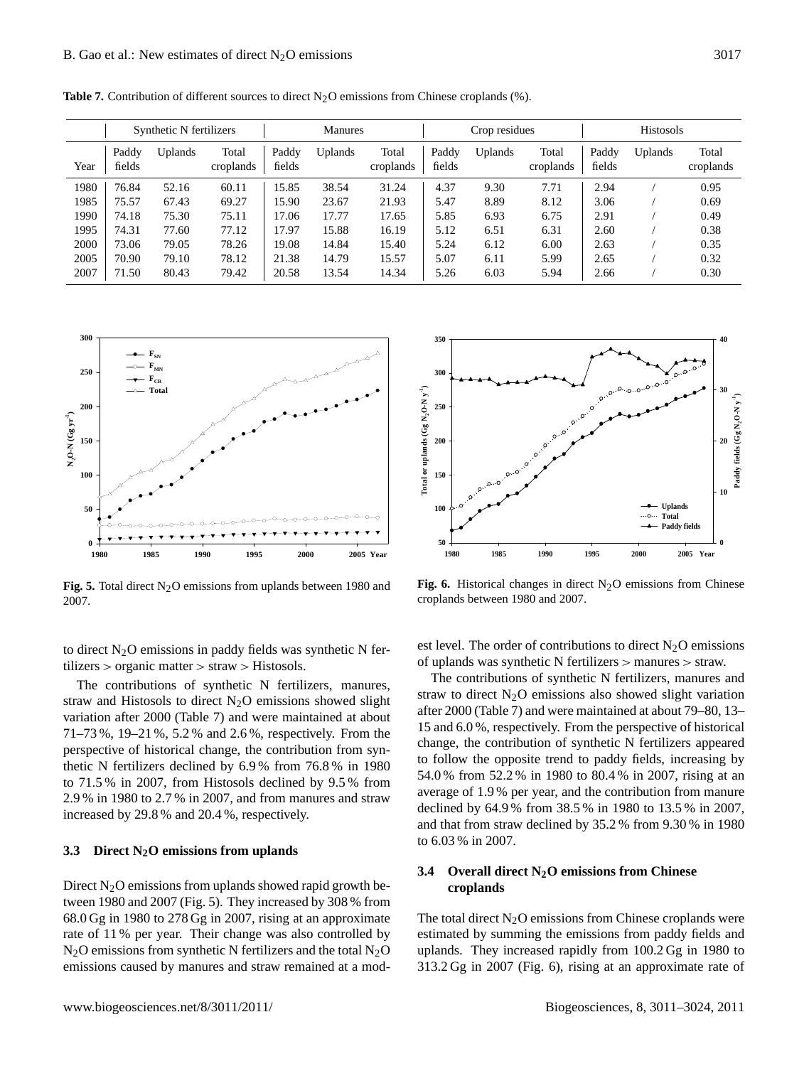|      | Synthetic N fertilizers |         | <b>Manures</b>     |                 | Crop residues |                    |                 | <b>Histosols</b> |                    |                 |         |                    |
|------|-------------------------|---------|--------------------|-----------------|---------------|--------------------|-----------------|------------------|--------------------|-----------------|---------|--------------------|
| Year | Paddy<br>fields         | Uplands | Total<br>croplands | Paddy<br>fields | Uplands       | Total<br>croplands | Paddy<br>fields | <b>Uplands</b>   | Total<br>croplands | Paddy<br>fields | Uplands | Total<br>croplands |
| 1980 | 76.84                   | 52.16   | 60.11              | 15.85           | 38.54         | 31.24              | 4.37            | 9.30             | 7.71               | 2.94            |         | 0.95               |
| 1985 | 75.57                   | 67.43   | 69.27              | 15.90           | 23.67         | 21.93              | 5.47            | 8.89             | 8.12               | 3.06            |         | 0.69               |
| 1990 | 74.18                   | 75.30   | 75.11              | 17.06           | 17.77         | 17.65              | 5.85            | 6.93             | 6.75               | 2.91            |         | 0.49               |
| 1995 | 74.31                   | 77.60   | 77.12              | 17.97           | 15.88         | 16.19              | 5.12            | 6.51             | 6.31               | 2.60            |         | 0.38               |
| 2000 | 73.06                   | 79.05   | 78.26              | 19.08           | 14.84         | 15.40              | 5.24            | 6.12             | 6.00               | 2.63            |         | 0.35               |
| 2005 | 70.90                   | 79.10   | 78.12              | 21.38           | 14.79         | 15.57              | 5.07            | 6.11             | 5.99               | 2.65            |         | 0.32               |
| 2007 | 71.50                   | 80.43   | 79.42              | 20.58           | 13.54         | 14.34              | 5.26            | 6.03             | 5.94               | 2.66            |         | 0.30               |

**Table 7.** Contribution of different sources to direct  $N_2O$  emissions from Chinese croplands (%).



**Fig. 5.** Total direct  $N_2O$  emissions from uplands between 1980 and 2007.

to direct  $N_2O$  emissions in paddy fields was synthetic N fertilizers > organic matter > straw > Histosols.

The contributions of synthetic N fertilizers, manures, straw and Histosols to direct  $N_2O$  emissions showed slight variation after 2000 (Table 7) and were maintained at about 71–73 %, 19–21 %, 5.2 % and 2.6 %, respectively. From the perspective of historical change, the contribution from synthetic N fertilizers declined by 6.9 % from 76.8 % in 1980 to 71.5 % in 2007, from Histosols declined by 9.5 % from 2.9 % in 1980 to 2.7 % in 2007, and from manures and straw increased by 29.8 % and 20.4 %, respectively.

#### **3.3 Direct N2O emissions from uplands**

Direct  $N_2O$  emissions from uplands showed rapid growth between 1980 and 2007 (Fig. 5). They increased by 308 % from 68.0 Gg in 1980 to 278 Gg in 2007, rising at an approximate rate of 11 % per year. Their change was also controlled by  $N_2O$  emissions from synthetic N fertilizers and the total  $N_2O$ emissions caused by manures and straw remained at a mod-



Fig. 6. Historical changes in direct N<sub>2</sub>O emissions from Chinese croplands between 1980 and 2007.

est level. The order of contributions to direct  $N_2O$  emissions of uplands was synthetic N fertilizers > manures > straw.

The contributions of synthetic N fertilizers, manures and straw to direct  $N_2O$  emissions also showed slight variation after 2000 (Table 7) and were maintained at about 79–80, 13– 15 and 6.0 %, respectively. From the perspective of historical change, the contribution of synthetic N fertilizers appeared to follow the opposite trend to paddy fields, increasing by 54.0 % from 52.2 % in 1980 to 80.4 % in 2007, rising at an average of 1.9 % per year, and the contribution from manure declined by 64.9 % from 38.5 % in 1980 to 13.5 % in 2007, and that from straw declined by 35.2 % from 9.30 % in 1980 to 6.03 % in 2007.

# **3.4 Overall direct N2O emissions from Chinese croplands**

The total direct  $N_2O$  emissions from Chinese croplands were estimated by summing the emissions from paddy fields and uplands. They increased rapidly from 100.2 Gg in 1980 to 313.2 Gg in 2007 (Fig. 6), rising at an approximate rate of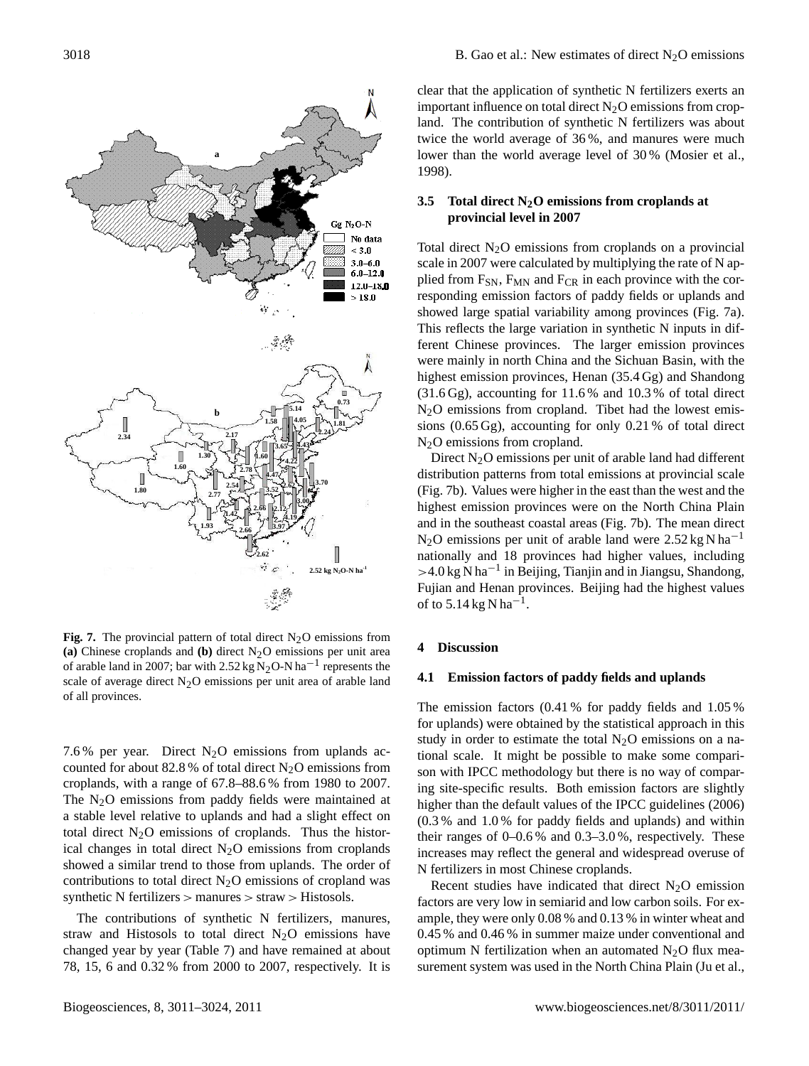

**Fig. 7.** The provincial pattern of total direct  $N_2O$  emissions from (a) Chinese croplands and  $(b)$  direct  $N_2O$  emissions per unit area of arable land in 2007; bar with 2.52 kg  $\text{N}_2\text{O-N}\,\text{ha}^{-1}$  represents the scale of average direct  $N<sub>2</sub>O$  emissions per unit area of arable land of all provinces.

7.6% per year. Direct  $N_2O$  emissions from uplands accounted for about 82.8 % of total direct  $N_2O$  emissions from croplands, with a range of 67.8–88.6 % from 1980 to 2007. The  $N_2O$  emissions from paddy fields were maintained at a stable level relative to uplands and had a slight effect on total direct  $N_2O$  emissions of croplands. Thus the historical changes in total direct  $N_2O$  emissions from croplands showed a similar trend to those from uplands. The order of contributions to total direct  $N_2O$  emissions of cropland was synthetic N fertilizers > manures > straw > Histosols.

The contributions of synthetic N fertilizers, manures, straw and Histosols to total direct  $N_2O$  emissions have changed year by year (Table 7) and have remained at about 78, 15, 6 and 0.32 % from 2000 to 2007, respectively. It is clear that the application of synthetic N fertilizers exerts an important influence on total direct  $N<sub>2</sub>O$  emissions from cropland. The contribution of synthetic N fertilizers was about twice the world average of 36 %, and manures were much lower than the world average level of 30 % (Mosier et al., 1998).

# **3.5 Total direct N2O emissions from croplands at provincial level in 2007**

Total direct  $N_2O$  emissions from croplands on a provincial scale in 2007 were calculated by multiplying the rate of N applied from  $F_{SN}$ ,  $F_{MN}$  and  $F_{CR}$  in each province with the corresponding emission factors of paddy fields or uplands and showed large spatial variability among provinces (Fig. 7a). This reflects the large variation in synthetic N inputs in different Chinese provinces. The larger emission provinces were mainly in north China and the Sichuan Basin, with the highest emission provinces, Henan (35.4 Gg) and Shandong (31.6 Gg), accounting for 11.6 % and 10.3 % of total direct N2O emissions from cropland. Tibet had the lowest emissions (0.65 Gg), accounting for only 0.21 % of total direct N<sub>2</sub>O emissions from cropland.

Direct  $N_2O$  emissions per unit of arable land had different distribution patterns from total emissions at provincial scale (Fig. 7b). Values were higher in the east than the west and the highest emission provinces were on the North China Plain and in the southeast coastal areas (Fig. 7b). The mean direct N<sub>2</sub>O emissions per unit of arable land were  $2.52 \text{ kg N} \text{h}$ a<sup>-1</sup> nationally and 18 provinces had higher values, including >4.0 kg N ha<sup>-1</sup> in Beijing, Tianjin and in Jiangsu, Shandong, Fujian and Henan provinces. Beijing had the highest values of to  $5.14 \text{ kg N} \text{ ha}^{-1}$ .

### **4 Discussion**

#### **4.1 Emission factors of paddy fields and uplands**

The emission factors (0.41 % for paddy fields and 1.05 % for uplands) were obtained by the statistical approach in this study in order to estimate the total  $N_2O$  emissions on a national scale. It might be possible to make some comparison with IPCC methodology but there is no way of comparing site-specific results. Both emission factors are slightly higher than the default values of the IPCC guidelines (2006) (0.3 % and 1.0 % for paddy fields and uplands) and within their ranges of 0–0.6 % and 0.3–3.0 %, respectively. These increases may reflect the general and widespread overuse of N fertilizers in most Chinese croplands.

Recent studies have indicated that direct  $N_2O$  emission factors are very low in semiarid and low carbon soils. For example, they were only 0.08 % and 0.13 % in winter wheat and 0.45 % and 0.46 % in summer maize under conventional and optimum N fertilization when an automated  $N_2O$  flux measurement system was used in the North China Plain (Ju et al.,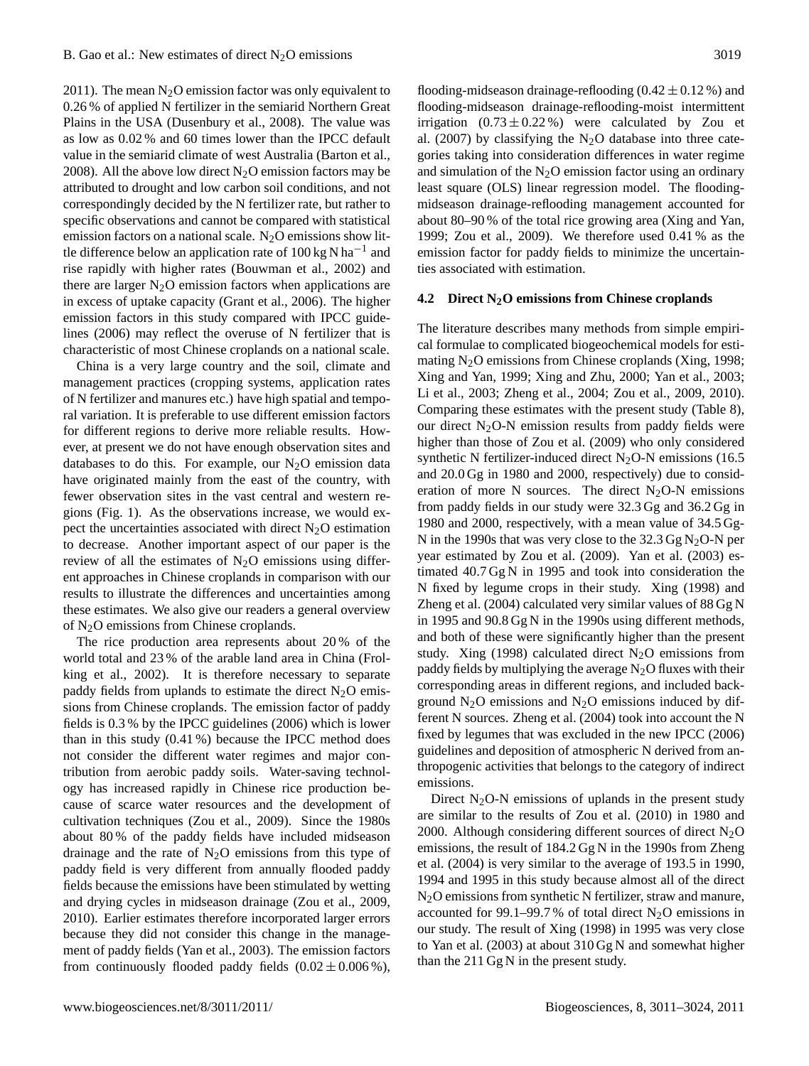2011). The mean  $N_2O$  emission factor was only equivalent to 0.26 % of applied N fertilizer in the semiarid Northern Great Plains in the USA (Dusenbury et al., 2008). The value was as low as 0.02 % and 60 times lower than the IPCC default value in the semiarid climate of west Australia (Barton et al., 2008). All the above low direct  $N_2O$  emission factors may be attributed to drought and low carbon soil conditions, and not correspondingly decided by the N fertilizer rate, but rather to specific observations and cannot be compared with statistical emission factors on a national scale.  $N_2O$  emissions show little difference below an application rate of  $100 \text{ kg N} \text{ ha}^{-1}$  and rise rapidly with higher rates (Bouwman et al., 2002) and there are larger  $N_2O$  emission factors when applications are in excess of uptake capacity (Grant et al., 2006). The higher emission factors in this study compared with IPCC guidelines (2006) may reflect the overuse of N fertilizer that is characteristic of most Chinese croplands on a national scale.

China is a very large country and the soil, climate and management practices (cropping systems, application rates of N fertilizer and manures etc.) have high spatial and temporal variation. It is preferable to use different emission factors for different regions to derive more reliable results. However, at present we do not have enough observation sites and databases to do this. For example, our  $N_2O$  emission data have originated mainly from the east of the country, with fewer observation sites in the vast central and western regions (Fig. 1). As the observations increase, we would expect the uncertainties associated with direct  $N_2O$  estimation to decrease. Another important aspect of our paper is the review of all the estimates of  $N_2O$  emissions using different approaches in Chinese croplands in comparison with our results to illustrate the differences and uncertainties among these estimates. We also give our readers a general overview of N2O emissions from Chinese croplands.

The rice production area represents about 20 % of the world total and 23 % of the arable land area in China (Frolking et al., 2002). It is therefore necessary to separate paddy fields from uplands to estimate the direct  $N_2O$  emissions from Chinese croplands. The emission factor of paddy fields is 0.3 % by the IPCC guidelines (2006) which is lower than in this study (0.41 %) because the IPCC method does not consider the different water regimes and major contribution from aerobic paddy soils. Water-saving technology has increased rapidly in Chinese rice production because of scarce water resources and the development of cultivation techniques (Zou et al., 2009). Since the 1980s about 80 % of the paddy fields have included midseason drainage and the rate of  $N_2O$  emissions from this type of paddy field is very different from annually flooded paddy fields because the emissions have been stimulated by wetting and drying cycles in midseason drainage (Zou et al., 2009, 2010). Earlier estimates therefore incorporated larger errors because they did not consider this change in the management of paddy fields (Yan et al., 2003). The emission factors from continuously flooded paddy fields  $(0.02 \pm 0.006\%)$ ,

flooding-midseason drainage-reflooding  $(0.42 \pm 0.12 \%)$  and flooding-midseason drainage-reflooding-moist intermittent irrigation  $(0.73 \pm 0.22 \%)$  were calculated by Zou et al. (2007) by classifying the  $N_2O$  database into three categories taking into consideration differences in water regime and simulation of the  $N_2O$  emission factor using an ordinary least square (OLS) linear regression model. The floodingmidseason drainage-reflooding management accounted for about 80–90 % of the total rice growing area (Xing and Yan, 1999; Zou et al., 2009). We therefore used 0.41 % as the emission factor for paddy fields to minimize the uncertainties associated with estimation.

## **4.2 Direct N2O emissions from Chinese croplands**

The literature describes many methods from simple empirical formulae to complicated biogeochemical models for estimating  $N_2O$  emissions from Chinese croplands (Xing, 1998; Xing and Yan, 1999; Xing and Zhu, 2000; Yan et al., 2003; Li et al., 2003; Zheng et al., 2004; Zou et al., 2009, 2010). Comparing these estimates with the present study (Table 8), our direct  $N_2O-N$  emission results from paddy fields were higher than those of Zou et al. (2009) who only considered synthetic N fertilizer-induced direct  $N_2O-N$  emissions (16.5) and 20.0 Gg in 1980 and 2000, respectively) due to consideration of more N sources. The direct  $N_2O-N$  emissions from paddy fields in our study were 32.3 Gg and 36.2 Gg in 1980 and 2000, respectively, with a mean value of 34.5 Gg-N in the 1990s that was very close to the  $32.3 \text{ Gg N}_2\text{O-N}$  per year estimated by Zou et al. (2009). Yan et al. (2003) estimated 40.7 Gg N in 1995 and took into consideration the N fixed by legume crops in their study. Xing (1998) and Zheng et al. (2004) calculated very similar values of 88 Gg N in 1995 and 90.8 Gg N in the 1990s using different methods, and both of these were significantly higher than the present study. Xing (1998) calculated direct  $N_2O$  emissions from paddy fields by multiplying the average  $N_2O$  fluxes with their corresponding areas in different regions, and included background  $N_2O$  emissions and  $N_2O$  emissions induced by different N sources. Zheng et al. (2004) took into account the N fixed by legumes that was excluded in the new IPCC (2006) guidelines and deposition of atmospheric N derived from anthropogenic activities that belongs to the category of indirect emissions.

Direct  $N_2O-N$  emissions of uplands in the present study are similar to the results of Zou et al. (2010) in 1980 and 2000. Although considering different sources of direct  $N_2O$ emissions, the result of 184.2 Gg N in the 1990s from Zheng et al. (2004) is very similar to the average of 193.5 in 1990, 1994 and 1995 in this study because almost all of the direct N2O emissions from synthetic N fertilizer, straw and manure, accounted for 99.1–99.7% of total direct  $N_2O$  emissions in our study. The result of Xing (1998) in 1995 was very close to Yan et al. (2003) at about 310 Gg N and somewhat higher than the 211 Gg N in the present study.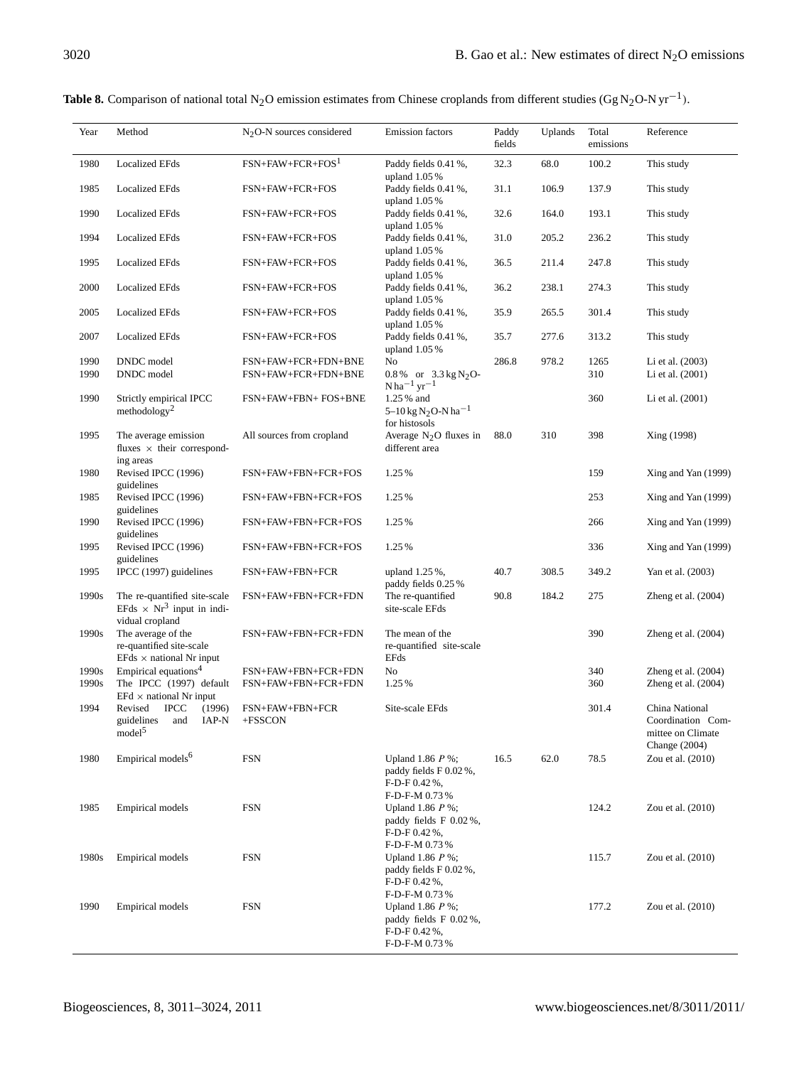| Year  | Method                                                                                          | $N2$ O-N sources considered | <b>Emission</b> factors                                                                           | Paddy<br>fields | Uplands | Total<br>emissions | Reference                                                                 |
|-------|-------------------------------------------------------------------------------------------------|-----------------------------|---------------------------------------------------------------------------------------------------|-----------------|---------|--------------------|---------------------------------------------------------------------------|
| 1980  | <b>Localized EFds</b>                                                                           | $FSN + FAW + FCR + FOS1$    | Paddy fields 0.41%,<br>upland $1.05\%$                                                            | 32.3            | 68.0    | 100.2              | This study                                                                |
| 1985  | <b>Localized EFds</b>                                                                           | FSN+FAW+FCR+FOS             | Paddy fields 0.41 %,<br>upland 1.05%                                                              | 31.1            | 106.9   | 137.9              | This study                                                                |
| 1990  | <b>Localized EFds</b>                                                                           | FSN+FAW+FCR+FOS             | Paddy fields 0.41 %,<br>upland $1.05\%$                                                           | 32.6            | 164.0   | 193.1              | This study                                                                |
| 1994  | <b>Localized EFds</b>                                                                           | FSN+FAW+FCR+FOS             | Paddy fields 0.41 %,<br>upland $1.05\%$                                                           | 31.0            | 205.2   | 236.2              | This study                                                                |
| 1995  | <b>Localized EFds</b>                                                                           | FSN+FAW+FCR+FOS             | Paddy fields 0.41 %,<br>upland $1.05\%$                                                           | 36.5            | 211.4   | 247.8              | This study                                                                |
| 2000  | <b>Localized EFds</b>                                                                           | FSN+FAW+FCR+FOS             | Paddy fields 0.41 %,<br>upland 1.05%                                                              | 36.2            | 238.1   | 274.3              | This study                                                                |
| 2005  | <b>Localized EFds</b>                                                                           | FSN+FAW+FCR+FOS             | Paddy fields 0.41 %,<br>upland $1.05\%$                                                           | 35.9            | 265.5   | 301.4              | This study                                                                |
| 2007  | <b>Localized EFds</b>                                                                           | FSN+FAW+FCR+FOS             | Paddy fields 0.41 %,<br>upland $1.05\%$                                                           | 35.7            | 277.6   | 313.2              | This study                                                                |
| 1990  | DNDC model                                                                                      | FSN+FAW+FCR+FDN+BNE         | No                                                                                                | 286.8           | 978.2   | 1265               | Li et al. (2003)                                                          |
| 1990  | DNDC model                                                                                      | FSN+FAW+FCR+FDN+BNE         | 0.8% or $3.3 \text{ kg N}_2$ O-<br>$N$ ha <sup>-1</sup> yr <sup>-1</sup>                          |                 |         | 310                | Li et al. (2001)                                                          |
| 1990  | Strictly empirical IPCC<br>methodology <sup>2</sup>                                             | FSN+FAW+FBN+ FOS+BNE        | 1.25 % and<br>5-10 kg $N_2O-N$ ha <sup>-1</sup><br>for histosols                                  |                 |         | 360                | Li et al. (2001)                                                          |
| 1995  | The average emission<br>fluxes $\times$ their correspond-                                       | All sources from cropland   | Average $N2O$ fluxes in<br>different area                                                         | 88.0            | 310     | 398                | Xing (1998)                                                               |
| 1980  | ing areas<br>Revised IPCC (1996)                                                                | FSN+FAW+FBN+FCR+FOS         | 1.25%                                                                                             |                 |         | 159                | Xing and Yan (1999)                                                       |
| 1985  | guidelines<br>Revised IPCC (1996)<br>guidelines                                                 | FSN+FAW+FBN+FCR+FOS         | 1.25%                                                                                             |                 |         | 253                | Xing and Yan (1999)                                                       |
| 1990  | Revised IPCC (1996)<br>guidelines                                                               | FSN+FAW+FBN+FCR+FOS         | 1.25%                                                                                             |                 |         | 266                | Xing and Yan (1999)                                                       |
| 1995  | Revised IPCC (1996)<br>guidelines                                                               | FSN+FAW+FBN+FCR+FOS         | 1.25%                                                                                             |                 |         | 336                | Xing and Yan (1999)                                                       |
| 1995  | IPCC (1997) guidelines                                                                          | FSN+FAW+FBN+FCR             | upland 1.25%,<br>paddy fields 0.25 %                                                              | 40.7            | 308.5   | 349.2              | Yan et al. (2003)                                                         |
| 1990s | The re-quantified site-scale<br>EFds $\times$ Nr <sup>3</sup> input in indi-<br>vidual cropland | FSN+FAW+FBN+FCR+FDN         | The re-quantified<br>site-scale EFds                                                              | 90.8            | 184.2   | 275                | Zheng et al. $(2004)$                                                     |
| 1990s | The average of the<br>re-quantified site-scale<br>$EFds \times$ national Nr input               | FSN+FAW+FBN+FCR+FDN         | The mean of the<br>re-quantified site-scale<br>EFds                                               |                 |         | 390                | Zheng et al. $(2004)$                                                     |
| 1990s | Empirical equations <sup>4</sup>                                                                | FSN+FAW+FBN+FCR+FDN         | No                                                                                                |                 |         | 340                | Zheng et al. $(2004)$                                                     |
| 1990s | The IPCC (1997) default<br>$EFd \times$ national Nr input                                       | FSN+FAW+FBN+FCR+FDN         | 1.25%                                                                                             |                 |         | 360                | Zheng et al. $(2004)$                                                     |
| 1994  | Revised<br><b>IPCC</b><br>(1996)<br>IAP-N<br>guidelines<br>and<br>model <sup>3</sup>            | FSN+FAW+FBN+FCR<br>+FSSCON  | Site-scale EFds                                                                                   |                 |         | 301.4              | China National<br>Coordination Com-<br>mittee on Climate<br>Change (2004) |
| 1980  | Empirical models <sup>6</sup>                                                                   | <b>FSN</b>                  | Upland 1.86 $P$ %;<br>paddy fields F 0.02%,<br>$F-D-F 0.42 %$ ,<br>F-D-F-M 0.73%                  | 16.5            | 62.0    | 78.5               | Zou et al. (2010)                                                         |
| 1985  | <b>Empirical models</b>                                                                         | FSN                         | Upland 1.86 $P$ %;<br>paddy fields F 0.02%,<br>F-D-F 0.42%,                                       |                 |         | 124.2              | Zou et al. (2010)                                                         |
| 1980s | <b>Empirical models</b>                                                                         | FSN                         | F-D-F-M 0.73%<br>Upland 1.86 $P$ %;<br>paddy fields F 0.02%,<br>F-D-F 0.42%,                      |                 |         | 115.7              | Zou et al. (2010)                                                         |
| 1990  | <b>Empirical models</b>                                                                         | <b>FSN</b>                  | F-D-F-M 0.73%<br>Upland 1.86 $P$ %;<br>paddy fields F 0.02%,<br>$F-D-F 0.42 %$ ,<br>F-D-F-M 0.73% |                 |         | 177.2              | Zou et al. (2010)                                                         |

| <b>Table 8.</b> Comparison of national total N <sub>2</sub> O emission estimates from Chinese croplands from different studies (Gg N <sub>2</sub> O-N yr <sup>-1</sup> ). |  |
|---------------------------------------------------------------------------------------------------------------------------------------------------------------------------|--|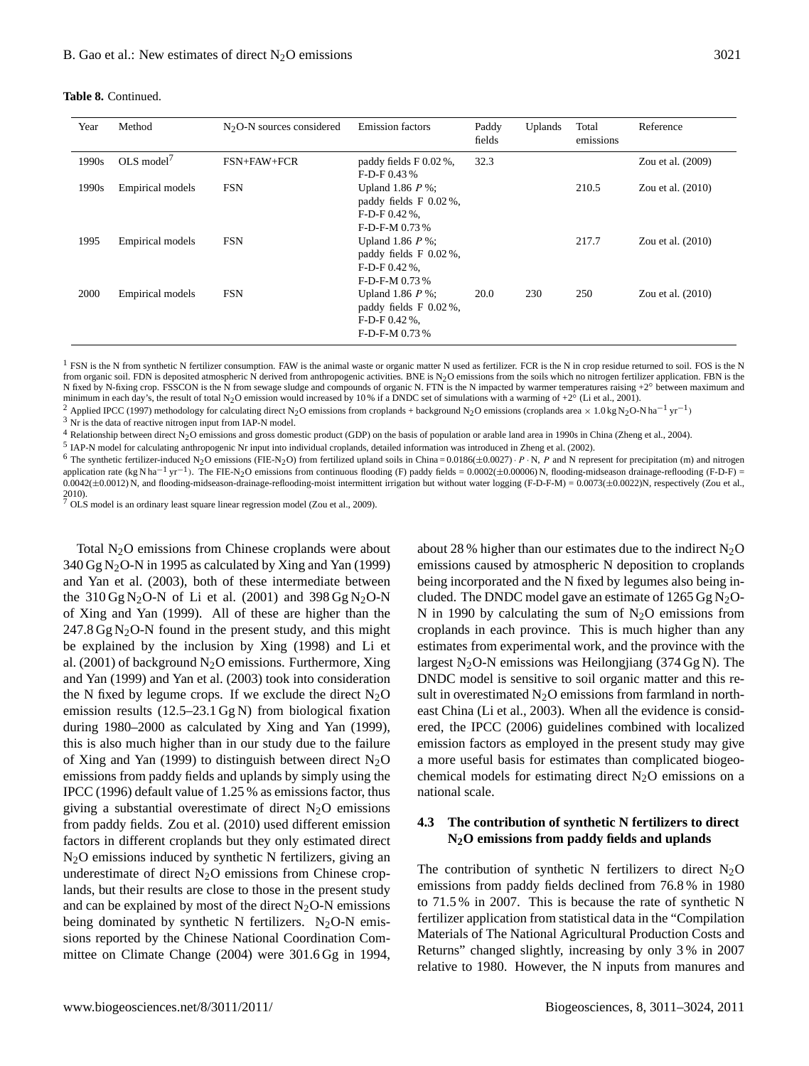| Year  | Method                  | $N2O-N$ sources considered | <b>Emission factors</b>                                                            | Paddy<br>fields | <b>Uplands</b> | Total<br>emissions | Reference           |
|-------|-------------------------|----------------------------|------------------------------------------------------------------------------------|-----------------|----------------|--------------------|---------------------|
| 1990s | $OLS \text{ model}^7$   | FSN+FAW+FCR                | paddy fields F 0.02 %,<br>$F-D-F$ 0.43%                                            | 32.3            |                |                    | Zou et al. (2009)   |
| 1990s | <b>Empirical models</b> | <b>FSN</b>                 | Upland 1.86 $P$ %;<br>paddy fields F 0.02%,<br>$F-D-F 0.42 %$ .<br>$F-D-F-M$ 0.73% |                 |                | 210.5              | Zou et al. $(2010)$ |
| 1995  | <b>Empirical models</b> | <b>FSN</b>                 | Upland 1.86 $P$ %;<br>paddy fields F 0.02%,<br>$F-D-F 0.42 %$ .<br>F-D-F-M 0.73%   |                 |                | 217.7              | Zou et al. $(2010)$ |
| 2000  | <b>Empirical models</b> | <b>FSN</b>                 | Upland 1.86 $P$ %;<br>paddy fields $F$ 0.02%,<br>$F-D-F 0.42 %$ .<br>F-D-F-M 0.73% | 20.0            | 230            | 250                | Zou et al. $(2010)$ |

<sup>1</sup> FSN is the N from synthetic N fertilizer consumption. FAW is the animal waste or organic matter N used as fertilizer. FCR is the N in crop residue returned to soil. FOS is the N from organic soil. FDN is deposited atmospheric N derived from anthropogenic activities. BNE is N<sub>2</sub>O emissions from the soils which no nitrogen fertilizer application. FBN is the N fixed by N-fixing crop. FSSCON is the N from sewage sludge and compounds of organic N. FTN is the N impacted by warmer temperatures raising +2° between maximum and minimum in each day's, the result of total N<sub>2</sub>O emission would increased by 10% if a DNDC set of simulations with a warming of +2<sup>°</sup> (Li et al., 2001).

<sup>2</sup> Applied IPCC (1997) methodology for calculating direct N<sub>2</sub>O emissions from croplands + background N<sub>2</sub>O emissions (croplands area × 1.0 kg N<sub>2</sub>O-N ha<sup>-1</sup> yr<sup>-1</sup>)  $3$  Nr is the data of reactive nitrogen input from IAP-N model.

<sup>4</sup> Relationship between direct N2O emissions and gross domestic product (GDP) on the basis of population or arable land area in 1990s in China (Zheng et al., 2004).

5 IAP-N model for calculating anthropogenic Nr input into individual croplands, detailed information was introduced in Zheng et al. (2002).

<sup>6</sup> The synthetic fertilizer-induced N<sub>2</sub>O emissions (FIE-N<sub>2</sub>O) from fertilized upland soils in China = 0.0186( $\pm$ 0.0027) · P · N, P and N represent for precipitation (m) and nitrogen application rate (kg N ha<sup>-1</sup> yr<sup>-1</sup>). The FIE-N<sub>2</sub>O emissions from continuous flooding (F) paddy fields = 0.0002(±0.00006) N, flooding-midseason drainage-reflooding (F-D-F) = 0.0042(±0.0012) N, and flooding-midseason-drainage-reflooding-moist intermittent irrigation but without water logging (F-D-F-M) = 0.0073(±0.0022)N, respectively (Zou et al., 2010).

 $7$  OLS model is an ordinary least square linear regression model (Zou et al., 2009).

Total  $N_2O$  emissions from Chinese croplands were about  $340$  Gg N<sub>2</sub>O-N in 1995 as calculated by Xing and Yan (1999) and Yan et al. (2003), both of these intermediate between the  $310 \text{ Gg N}_2\text{O-N}$  of Li et al. (2001) and  $398 \text{ Gg N}_2\text{O-N}$ of Xing and Yan (1999). All of these are higher than the  $247.8$  Gg N<sub>2</sub>O-N found in the present study, and this might be explained by the inclusion by Xing (1998) and Li et al. (2001) of background  $N<sub>2</sub>O$  emissions. Furthermore, Xing and Yan (1999) and Yan et al. (2003) took into consideration the N fixed by legume crops. If we exclude the direct  $N_2O$ emission results (12.5–23.1 Gg N) from biological fixation during 1980–2000 as calculated by Xing and Yan (1999), this is also much higher than in our study due to the failure of Xing and Yan (1999) to distinguish between direct  $N_2O$ emissions from paddy fields and uplands by simply using the IPCC (1996) default value of 1.25 % as emissions factor, thus giving a substantial overestimate of direct  $N_2O$  emissions from paddy fields. Zou et al. (2010) used different emission factors in different croplands but they only estimated direct N2O emissions induced by synthetic N fertilizers, giving an underestimate of direct  $N_2O$  emissions from Chinese croplands, but their results are close to those in the present study and can be explained by most of the direct  $N_2O-N$  emissions being dominated by synthetic N fertilizers.  $N_2O-N$  emissions reported by the Chinese National Coordination Committee on Climate Change (2004) were 301.6 Gg in 1994, about 28 % higher than our estimates due to the indirect  $N_2O$ emissions caused by atmospheric N deposition to croplands being incorporated and the N fixed by legumes also being included. The DNDC model gave an estimate of  $1265 \text{ Gg N}_2\text{O}$ -N in 1990 by calculating the sum of  $N_2O$  emissions from croplands in each province. This is much higher than any estimates from experimental work, and the province with the largest N<sub>2</sub>O-N emissions was Heilongjiang (374 Gg N). The DNDC model is sensitive to soil organic matter and this result in overestimated  $N_2O$  emissions from farmland in northeast China (Li et al., 2003). When all the evidence is considered, the IPCC (2006) guidelines combined with localized emission factors as employed in the present study may give a more useful basis for estimates than complicated biogeochemical models for estimating direct  $N_2O$  emissions on a national scale.

# **4.3 The contribution of synthetic N fertilizers to direct N2O emissions from paddy fields and uplands**

The contribution of synthetic N fertilizers to direct  $N_2O$ emissions from paddy fields declined from 76.8 % in 1980 to 71.5 % in 2007. This is because the rate of synthetic N fertilizer application from statistical data in the "Compilation Materials of The National Agricultural Production Costs and Returns" changed slightly, increasing by only 3 % in 2007 relative to 1980. However, the N inputs from manures and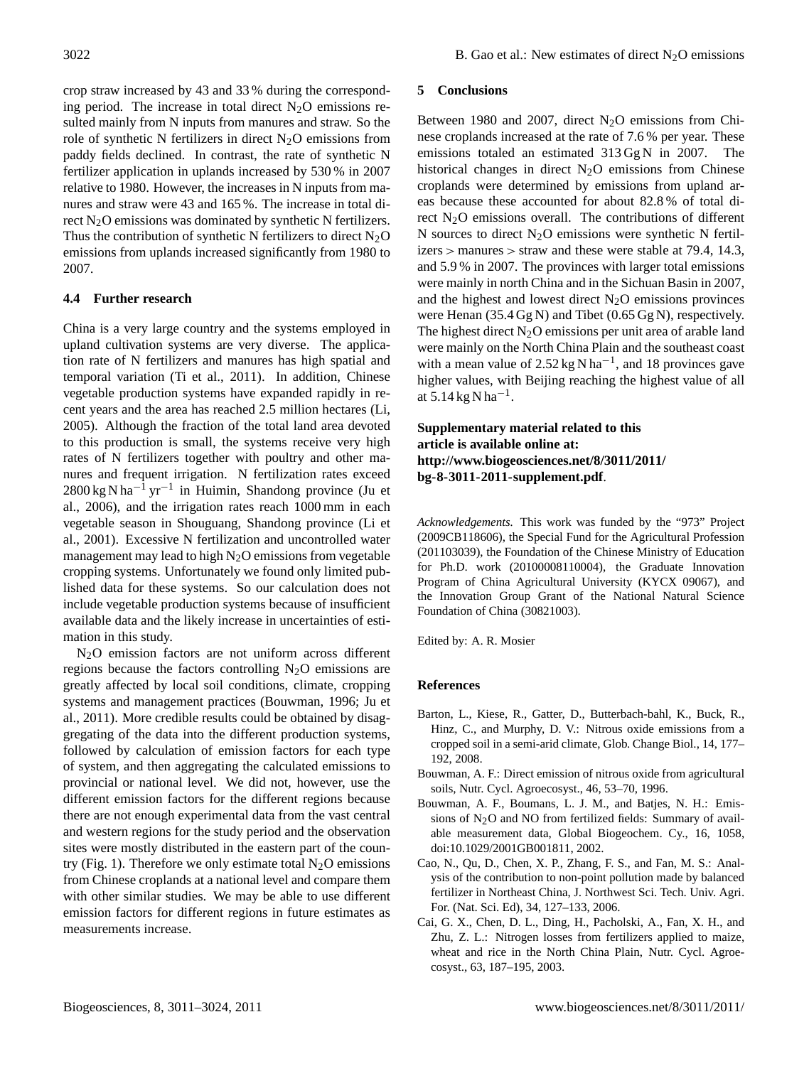crop straw increased by 43 and 33 % during the corresponding period. The increase in total direct  $N<sub>2</sub>O$  emissions resulted mainly from N inputs from manures and straw. So the role of synthetic N fertilizers in direct  $N_2O$  emissions from paddy fields declined. In contrast, the rate of synthetic N fertilizer application in uplands increased by 530 % in 2007 relative to 1980. However, the increases in N inputs from manures and straw were 43 and 165 %. The increase in total direct  $N_2O$  emissions was dominated by synthetic N fertilizers. Thus the contribution of synthetic N fertilizers to direct  $N_2O$ emissions from uplands increased significantly from 1980 to 2007.

# **4.4 Further research**

China is a very large country and the systems employed in upland cultivation systems are very diverse. The application rate of N fertilizers and manures has high spatial and temporal variation (Ti et al., 2011). In addition, Chinese vegetable production systems have expanded rapidly in recent years and the area has reached 2.5 million hectares (Li, 2005). Although the fraction of the total land area devoted to this production is small, the systems receive very high rates of N fertilizers together with poultry and other manures and frequent irrigation. N fertilization rates exceed  $2800 \text{ kg N} \text{ ha}^{-1} \text{ yr}^{-1}$  in Huimin, Shandong province (Ju et al., 2006), and the irrigation rates reach 1000 mm in each vegetable season in Shouguang, Shandong province (Li et al., 2001). Excessive N fertilization and uncontrolled water management may lead to high  $N_2O$  emissions from vegetable cropping systems. Unfortunately we found only limited published data for these systems. So our calculation does not include vegetable production systems because of insufficient available data and the likely increase in uncertainties of estimation in this study.

N2O emission factors are not uniform across different regions because the factors controlling  $N_2O$  emissions are greatly affected by local soil conditions, climate, cropping systems and management practices (Bouwman, 1996; Ju et al., 2011). More credible results could be obtained by disaggregating of the data into the different production systems, followed by calculation of emission factors for each type of system, and then aggregating the calculated emissions to provincial or national level. We did not, however, use the different emission factors for the different regions because there are not enough experimental data from the vast central and western regions for the study period and the observation sites were mostly distributed in the eastern part of the country (Fig. 1). Therefore we only estimate total  $N_2O$  emissions from Chinese croplands at a national level and compare them with other similar studies. We may be able to use different emission factors for different regions in future estimates as measurements increase.

# **5 Conclusions**

Between 1980 and 2007, direct  $N_2O$  emissions from Chinese croplands increased at the rate of 7.6 % per year. These emissions totaled an estimated 313 Gg N in 2007. The historical changes in direct  $N_2O$  emissions from Chinese croplands were determined by emissions from upland areas because these accounted for about 82.8 % of total direct N2O emissions overall. The contributions of different N sources to direct  $N_2O$  emissions were synthetic N fertilizers  $>$  manures  $>$  straw and these were stable at 79.4, 14.3, and 5.9 % in 2007. The provinces with larger total emissions were mainly in north China and in the Sichuan Basin in 2007, and the highest and lowest direct  $N_2O$  emissions provinces were Henan (35.4 Gg N) and Tibet (0.65 Gg N), respectively. The highest direct  $N_2O$  emissions per unit area of arable land were mainly on the North China Plain and the southeast coast with a mean value of 2.52 kg N ha<sup>-1</sup>, and 18 provinces gave higher values, with Beijing reaching the highest value of all at 5.14 kg N ha−<sup>1</sup> .

# **Supplementary material related to this article is available online at: [http://www.biogeosciences.net/8/3011/2011/](http://www.biogeosciences.net/8/3011/2011/bg-8-3011-2011-supplement.pdf) [bg-8-3011-2011-supplement.pdf](http://www.biogeosciences.net/8/3011/2011/bg-8-3011-2011-supplement.pdf)**.

*Acknowledgements.* This work was funded by the "973" Project (2009CB118606), the Special Fund for the Agricultural Profession (201103039), the Foundation of the Chinese Ministry of Education for Ph.D. work (20100008110004), the Graduate Innovation Program of China Agricultural University (KYCX 09067), and the Innovation Group Grant of the National Natural Science Foundation of China (30821003).

Edited by: A. R. Mosier

# **References**

- Barton, L., Kiese, R., Gatter, D., Butterbach-bahl, K., Buck, R., Hinz, C., and Murphy, D. V.: Nitrous oxide emissions from a cropped soil in a semi-arid climate, Glob. Change Biol., 14, 177– 192, 2008.
- Bouwman, A. F.: Direct emission of nitrous oxide from agricultural soils, Nutr. Cycl. Agroecosyst., 46, 53–70, 1996.
- Bouwman, A. F., Boumans, L. J. M., and Batjes, N. H.: Emissions of N2O and NO from fertilized fields: Summary of available measurement data, Global Biogeochem. Cy., 16, 1058, [doi:10.1029/2001GB001811,](http://dx.doi.org/10.1029/2001GB001811) 2002.
- Cao, N., Qu, D., Chen, X. P., Zhang, F. S., and Fan, M. S.: Analysis of the contribution to non-point pollution made by balanced fertilizer in Northeast China, J. Northwest Sci. Tech. Univ. Agri. For. (Nat. Sci. Ed), 34, 127–133, 2006.
- Cai, G. X., Chen, D. L., Ding, H., Pacholski, A., Fan, X. H., and Zhu, Z. L.: Nitrogen losses from fertilizers applied to maize, wheat and rice in the North China Plain, Nutr. Cycl. Agroecosyst., 63, 187–195, 2003.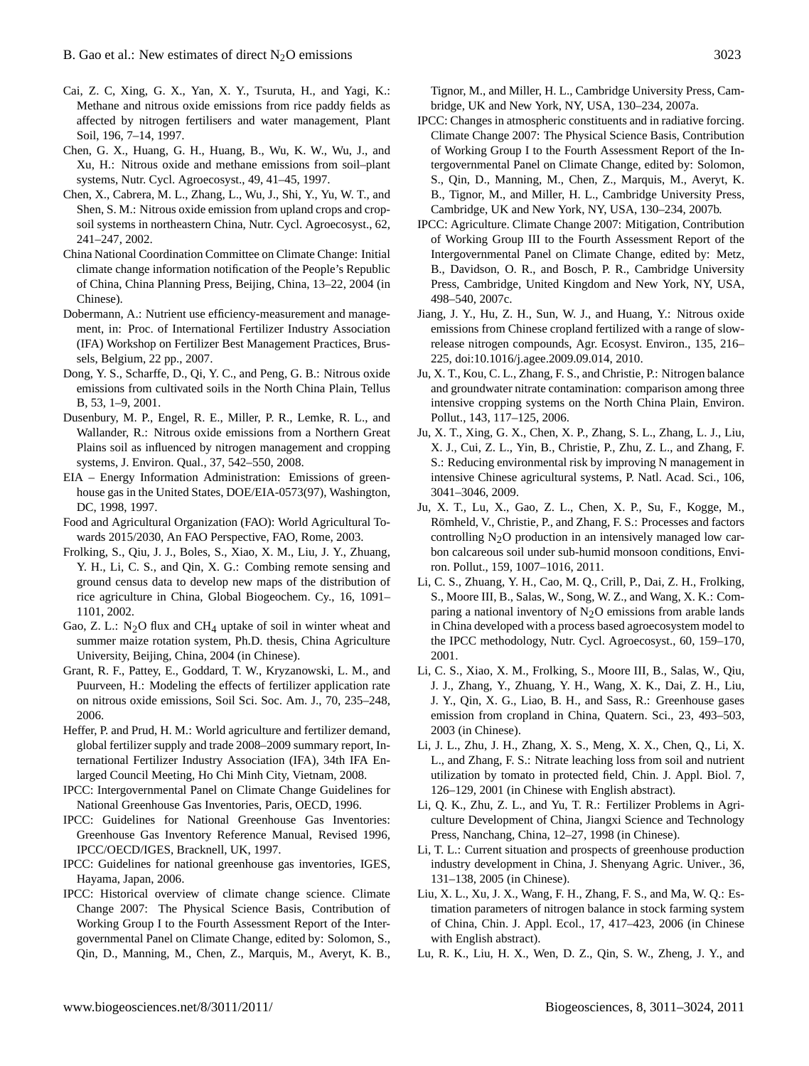- Cai, Z. C, Xing, G. X., Yan, X. Y., Tsuruta, H., and Yagi, K.: Methane and nitrous oxide emissions from rice paddy fields as affected by nitrogen fertilisers and water management, Plant Soil, 196, 7–14, 1997.
- Chen, G. X., Huang, G. H., Huang, B., Wu, K. W., Wu, J., and Xu, H.: Nitrous oxide and methane emissions from soil–plant systems, Nutr. Cycl. Agroecosyst., 49, 41–45, 1997.
- Chen, X., Cabrera, M. L., Zhang, L., Wu, J., Shi, Y., Yu, W. T., and Shen, S. M.: Nitrous oxide emission from upland crops and cropsoil systems in northeastern China, Nutr. Cycl. Agroecosyst., 62, 241–247, 2002.
- China National Coordination Committee on Climate Change: Initial climate change information notification of the People's Republic of China, China Planning Press, Beijing, China, 13–22, 2004 (in Chinese).
- Dobermann, A.: Nutrient use efficiency-measurement and management, in: Proc. of International Fertilizer Industry Association (IFA) Workshop on Fertilizer Best Management Practices, Brussels, Belgium, 22 pp., 2007.
- Dong, Y. S., Scharffe, D., Qi, Y. C., and Peng, G. B.: Nitrous oxide emissions from cultivated soils in the North China Plain, Tellus B, 53, 1–9, 2001.
- Dusenbury, M. P., Engel, R. E., Miller, P. R., Lemke, R. L., and Wallander, R.: Nitrous oxide emissions from a Northern Great Plains soil as influenced by nitrogen management and cropping systems, J. Environ. Qual., 37, 542–550, 2008.
- EIA Energy Information Administration: Emissions of greenhouse gas in the United States, DOE/EIA-0573(97), Washington, DC, 1998, 1997.
- Food and Agricultural Organization (FAO): World Agricultural Towards 2015/2030, An FAO Perspective, FAO, Rome, 2003.
- Frolking, S., Qiu, J. J., Boles, S., Xiao, X. M., Liu, J. Y., Zhuang, Y. H., Li, C. S., and Qin, X. G.: Combing remote sensing and ground census data to develop new maps of the distribution of rice agriculture in China, Global Biogeochem. Cy., 16, 1091– 1101, 2002.
- Gao, Z. L.:  $N_2O$  flux and CH<sub>4</sub> uptake of soil in winter wheat and summer maize rotation system, Ph.D. thesis, China Agriculture University, Beijing, China, 2004 (in Chinese).
- Grant, R. F., Pattey, E., Goddard, T. W., Kryzanowski, L. M., and Puurveen, H.: Modeling the effects of fertilizer application rate on nitrous oxide emissions, Soil Sci. Soc. Am. J., 70, 235–248, 2006.
- Heffer, P. and Prud, H. M.: World agriculture and fertilizer demand, global fertilizer supply and trade 2008–2009 summary report, International Fertilizer Industry Association (IFA), 34th IFA Enlarged Council Meeting, Ho Chi Minh City, Vietnam, 2008.
- IPCC: Intergovernmental Panel on Climate Change Guidelines for National Greenhouse Gas Inventories, Paris, OECD, 1996.
- IPCC: Guidelines for National Greenhouse Gas Inventories: Greenhouse Gas Inventory Reference Manual, Revised 1996, IPCC/OECD/IGES, Bracknell, UK, 1997.
- IPCC: Guidelines for national greenhouse gas inventories, IGES, Hayama, Japan, 2006.
- IPCC: Historical overview of climate change science. Climate Change 2007: The Physical Science Basis, Contribution of Working Group I to the Fourth Assessment Report of the Intergovernmental Panel on Climate Change, edited by: Solomon, S., Qin, D., Manning, M., Chen, Z., Marquis, M., Averyt, K. B.,

Tignor, M., and Miller, H. L., Cambridge University Press, Cambridge, UK and New York, NY, USA, 130–234, 2007a.

- IPCC: Changes in atmospheric constituents and in radiative forcing. Climate Change 2007: The Physical Science Basis, Contribution of Working Group I to the Fourth Assessment Report of the Intergovernmental Panel on Climate Change, edited by: Solomon, S., Qin, D., Manning, M., Chen, Z., Marquis, M., Averyt, K. B., Tignor, M., and Miller, H. L., Cambridge University Press, Cambridge, UK and New York, NY, USA, 130–234, 2007b.
- IPCC: Agriculture. Climate Change 2007: Mitigation, Contribution of Working Group III to the Fourth Assessment Report of the Intergovernmental Panel on Climate Change, edited by: Metz, B., Davidson, O. R., and Bosch, P. R., Cambridge University Press, Cambridge, United Kingdom and New York, NY, USA, 498–540, 2007c.
- Jiang, J. Y., Hu, Z. H., Sun, W. J., and Huang, Y.: Nitrous oxide emissions from Chinese cropland fertilized with a range of slowrelease nitrogen compounds, Agr. Ecosyst. Environ., 135, 216– 225, [doi:10.1016/j.agee.2009.09.014,](http://dx.doi.org/10.1016/j.agee.2009.09.014) 2010.
- Ju, X. T., Kou, C. L., Zhang, F. S., and Christie, P.: Nitrogen balance and groundwater nitrate contamination: comparison among three intensive cropping systems on the North China Plain, Environ. Pollut., 143, 117–125, 2006.
- Ju, X. T., Xing, G. X., Chen, X. P., Zhang, S. L., Zhang, L. J., Liu, X. J., Cui, Z. L., Yin, B., Christie, P., Zhu, Z. L., and Zhang, F. S.: Reducing environmental risk by improving N management in intensive Chinese agricultural systems, P. Natl. Acad. Sci., 106, 3041–3046, 2009.
- Ju, X. T., Lu, X., Gao, Z. L., Chen, X. P., Su, F., Kogge, M., Römheld, V., Christie, P., and Zhang, F. S.: Processes and factors controlling  $N<sub>2</sub>O$  production in an intensively managed low carbon calcareous soil under sub-humid monsoon conditions, Environ. Pollut., 159, 1007–1016, 2011.
- Li, C. S., Zhuang, Y. H., Cao, M. Q., Crill, P., Dai, Z. H., Frolking, S., Moore III, B., Salas, W., Song, W. Z., and Wang, X. K.: Comparing a national inventory of  $N_2O$  emissions from arable lands in China developed with a process based agroecosystem model to the IPCC methodology, Nutr. Cycl. Agroecosyst., 60, 159–170, 2001.
- Li, C. S., Xiao, X. M., Frolking, S., Moore III, B., Salas, W., Qiu, J. J., Zhang, Y., Zhuang, Y. H., Wang, X. K., Dai, Z. H., Liu, J. Y., Qin, X. G., Liao, B. H., and Sass, R.: Greenhouse gases emission from cropland in China, Quatern. Sci., 23, 493–503, 2003 (in Chinese).
- Li, J. L., Zhu, J. H., Zhang, X. S., Meng, X. X., Chen, Q., Li, X. L., and Zhang, F. S.: Nitrate leaching loss from soil and nutrient utilization by tomato in protected field, Chin. J. Appl. Biol. 7, 126–129, 2001 (in Chinese with English abstract).
- Li, Q. K., Zhu, Z. L., and Yu, T. R.: Fertilizer Problems in Agriculture Development of China, Jiangxi Science and Technology Press, Nanchang, China, 12–27, 1998 (in Chinese).
- Li, T. L.: Current situation and prospects of greenhouse production industry development in China, J. Shenyang Agric. Univer., 36, 131–138, 2005 (in Chinese).
- Liu, X. L., Xu, J. X., Wang, F. H., Zhang, F. S., and Ma, W. Q.: Estimation parameters of nitrogen balance in stock farming system of China, Chin. J. Appl. Ecol., 17, 417–423, 2006 (in Chinese with English abstract).
- Lu, R. K., Liu, H. X., Wen, D. Z., Qin, S. W., Zheng, J. Y., and